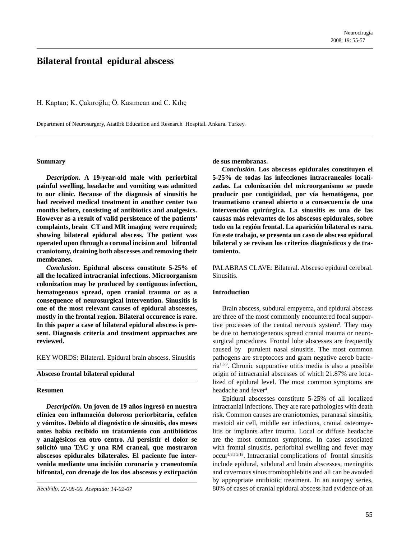# **Bilateral frontal epidural abscess**

H. Kaptan; K. Çakıroğlu; Ö. Kasımcan and C. Kılıç

Department of Neurosurgery, Atatürk Education and Research Hospital. Ankara. Turkey.

#### **Summary**

*Description***. A 19-year-old male with periorbital painful swelling, headache and vomiting was admitted to our clinic. Because of the diagnosis of sinusitis he had received medical treatment in another center two months before, consisting of antibiotics and analgesics. However as a result of valid persistence of the patients' complaints, brain CT and MR imaging were required; showing bilateral epidural abscess. The patient was operated upon through a coronal incision and bifrontal craniotomy, draining both abscesses and removing their membranes.**

*Conclusion***. Epidural abscess constitute 5-25% of all the localized intracranial infections. Microorganism colonization may be produced by contiguous infection, hematogenous spread, open cranial trauma or as a consequence of neurosurgical intervention. Sinusitis is one of the most relevant causes of epidural abscesses, mostly in the frontal region. Bilateral occurence is rare. In this paper a case of bilateral epidural abscess is present. Diagnosis criteria and treatment approaches are reviewed.**

KEY WORDS: Bilateral. Epidural brain abscess. Sinusitis

# **Absceso frontal bilateral epidural**

#### **Resumen**

*Descripción***. Un joven de 19 años ingresó en nuestra clínica con inflamación dolorosa periorbitaria, cefalea y vómitos. Debido al diagnóstico de sinusitis, dos meses antes había recibido un tratamiento con antibióticos y analgésicos en otro centro. Al persistir el dolor se solicitó una TAC y una RM craneal, que mostraron abscesos epidurales bilaterales. El paciente fue intervenida mediante una incisión coronaria y craneotomía bifrontal, con drenaje de los dos abscesos y extirpación** **de sus membranas.**

*Conclusión***. Los abscesos epidurales constituyen el 5-25% de todas las infecciones intracraneales localizadas. La colonización del microorganismo se puede producir por contigüidad, por vía hematógena, por traumatismo craneal abierto o a consecuencia de una intervención quirúrgica. La sinusitis es una de las causas más relevantes de los abscesos epidurales, sobre todo en la región frontal. La aparición bilateral es rara. En este trabajo, se presenta un caso de absceso epidural bilateral y se revisan los criterios diagnósticos y de tratamiento.**

PALABRAS CLAVE: Bilateral. Absceso epidural cerebral. Sinusitis.

#### **Introduction**

Brain abscess, subdural empyema, and epidural abscess are three of the most commonly encountered focal supportive processes of the central nervous system<sup>2</sup>. They may be due to hematogeneous spread cranial trauma or neurosurgical procedures. Frontal lobe abscesses are frequently caused by purulent nasal sinusitis. The most common pathogens are streptococs and gram negative aerob bacteria1,6,9. Chronic suppurative otitis media is also a possible origin of intracranial abscesses of which 21.87% are localized of epidural level. The most common symptoms are headache and fever<sup>4</sup>.

Epidural abscesses constitute 5-25% of all localized intracranial infections. They are rare pathologies with death risk. Common causes are craniotomies, paranasal sinusitis, mastoid air cell, middle ear infections, cranial osteomyelitis or implants after trauma. Local or diffuse headache are the most common symptoms. In cases associated with frontal sinusitis, periorbital swelling and fever may occur1,3,5,9,18. Intracranial complications of frontal sinusitis include epidural, subdural and brain abscesses, meningitis and cavernous sinus trombophlebitis and all can be avoided by appropriate antibiotic treatment. In an autopsy series, 80% of cases of cranial epidural abscess had evidence of an

*Recibido; 22-08-06. Aceptado: 14-02-07*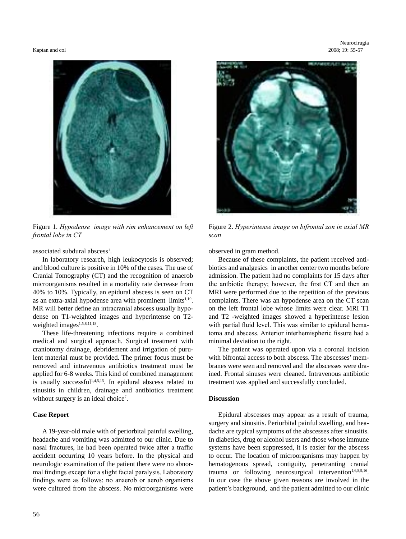Kaptan and col 2008; 19: 55-57



Figure 1. *Hypodense image with rim enhancement on left frontal lobe in CT*

associated subdural abscess<sup>1</sup>.

In laboratory research, high leukocytosis is observed; and blood culture is positive in 10% of the cases. The use of Cranial Tomography (CT) and the recognition of anaerob microorganisms resulted in a mortality rate decrease from 40% to 10%. Typically, an epidural abscess is seen on CT as an extra-axial hypodense area with prominent  $\lim$ its<sup>1,10</sup>. MR will better define an intracranial abscess usually hypodense on T1-weighted images and hyperintense on T2 weighted images<sup>1,5,8,11,18</sup>.

These life-threatening infections require a combined medical and surgical approach. Surgical treatment with craniotomy drainage, debridement and irrigation of purulent material must be provided. The primer focus must be removed and intravenous antibiotics treatment must be applied for 6-8 weeks. This kind of combined management is usually successful<sup>1,4,5,15</sup>. In epidural abscess related to sinusitis in children, drainage and antibiotics treatment without surgery is an ideal choice<sup>7</sup>.

# **Case Report**

A 19-year-old male with of periorbital painful swelling, headache and vomiting was admitted to our clinic. Due to nasal fractures, he had been operated twice after a traffic accident occurring 10 years before. In the physical and neurologic examination of the patient there were no abnormal findings except for a slight facial paralysis. Laboratory findings were as follows: no anaerob or aerob organisms were cultured from the abscess. No microorganisms were



Figure 2. *Hyperintense image on bifrontal zon in axial MR scan*

observed in gram method.

Because of these complaints, the patient received antibiotics and analgesics in another center two months before admission. The patient had no complaints for 15 days after the antbiotic therapy; however, the first CT and then an MRI were performed due to the repetition of the previous complaints. There was an hypodense area on the CT scan on the left frontal lobe whose limits were clear. MRI T1 and T2 -weighted images showed a hyperintense lesion with partial fluid level. This was similar to epidural hematoma and abscess. Anterior interhemispheric fissure had a minimal deviation to the right.

The patient was operated upon via a coronal incision with bifrontal access to both abscess. The abscesses' membranes were seen and removed and the abscesses were drained. Frontal sinuses were cleaned. Intravenous antibiotic treatment was applied and successfully concluded.

# **Discussion**

Epidural abscesses may appear as a result of trauma, surgery and sinusitis. Periorbital painful swelling, and headache are typical symptoms of the abscesses after sinusitis. In diabetics, drug or alcohol users and those whose immune systems have been suppressed, it is easier for the abscess to occur. The location of microorganisms may happen by hematogenous spread, contiguity, penetranting cranial trauma or following neurosurgical intervention<sup>1,6,8,9,16</sup>. In our case the above given reasons are involved in the patient's background, and the patient admitted to our clinic